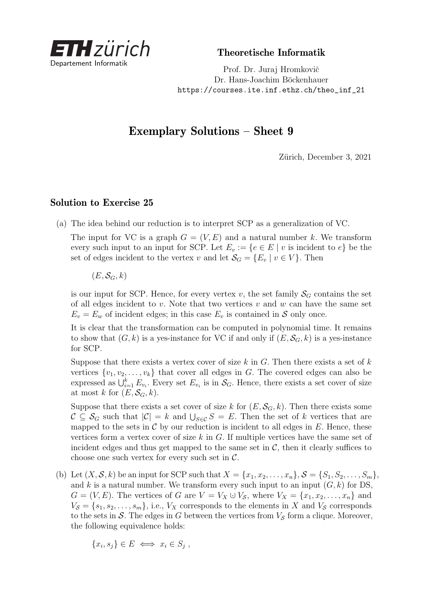

Theoretische Informatik

Prof. Dr. Juraj Hromkovič Dr. Hans-Joachim Böckenhauer [https://courses.ite.inf.ethz.ch/theo\\_inf\\_21](https://courses.ite.inf.ethz.ch/theo_inf_21)

## Exemplary Solutions – Sheet 9

Zürich, December 3, 2021

## Solution to Exercise 25

(a) The idea behind our reduction is to interpret SCP as a generalization of VC.

The input for VC is a graph  $G = (V, E)$  and a natural number k. We transform every such input to an input for SCP. Let  $E_v := \{e \in E \mid v \text{ is incident to } e\}$  be the set of edges incident to the vertex *v* and let  $\mathcal{S}_G = \{E_v \mid v \in V\}$ . Then

 $(E, \mathcal{S}_G, k)$ 

is our input for SCP. Hence, for every vertex *v*, the set family  $S_G$  contains the set of all edges incident to *v*. Note that two vertices *v* and *w* can have the same set  $E_v = E_w$  of incident edges; in this case  $E_v$  is contained in S only once.

It is clear that the transformation can be computed in polynomial time. It remains to show that  $(G, k)$  is a yes-instance for VC if and only if  $(E, \mathcal{S}_G, k)$  is a yes-instance for SCP.

Suppose that there exists a vertex cover of size *k* in *G*. Then there exists a set of *k* vertices  $\{v_1, v_2, \ldots, v_k\}$  that cover all edges in *G*. The covered edges can also be expressed as  $\bigcup_{i=1}^{k} E_{v_i}$ . Every set  $E_{v_i}$  is in  $\mathcal{S}_G$ . Hence, there exists a set cover of size at most *k* for  $(E, \mathcal{S}_G, k)$ .

Suppose that there exists a set cover of size *k* for  $(E, \mathcal{S}_G, k)$ . Then there exists some  $\mathcal{C} \subseteq \mathcal{S}_G$  such that  $|\mathcal{C}| = k$  and  $\bigcup_{S \in \mathcal{C}} S = E$ . Then the set of *k* vertices that are mapped to the sets in  $\mathcal C$  by our reduction is incident to all edges in  $E$ . Hence, these vertices form a vertex cover of size *k* in *G*. If multiple vertices have the same set of incident edges and thus get mapped to the same set in  $\mathcal{C}$ , then it clearly suffices to choose one such vertex for every such set in  $\mathcal{C}$ .

(b) Let  $(X, S, k)$  be an input for SCP such that  $X = \{x_1, x_2, \ldots, x_n\}, S = \{S_1, S_2, \ldots, S_m\},\$ and  $k$  is a natural number. We transform every such input to an input  $(G, k)$  for DS,  $G = (V, E)$ . The vertices of *G* are  $V = V_X \cup V_S$ , where  $V_X = \{x_1, x_2, \ldots, x_n\}$  and  $V_{\mathcal{S}} = \{s_1, s_2, \ldots, s_m\}$ , i.e.,  $V_X$  corresponds to the elements in *X* and  $V_{\mathcal{S}}$  corresponds to the sets in  $S$ . The edges in  $G$  between the vertices from  $V_S$  form a clique. Moreover, the following equivalence holds:

$$
\{x_i, s_j\} \in E \iff x_i \in S_j \ ,
$$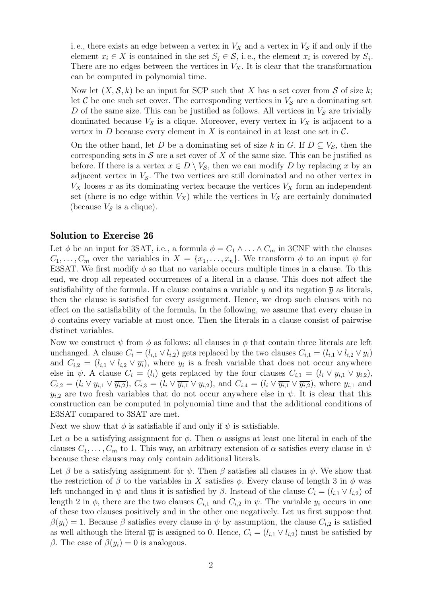i. e., there exists an edge between a vertex in  $V_X$  and a vertex in  $V_S$  if and only if the element  $x_i \in X$  is contained in the set  $S_j \in \mathcal{S}$ , i.e., the element  $x_i$  is covered by  $S_j$ . There are no edges between the vertices in  $V_X$ . It is clear that the transformation can be computed in polynomial time.

Now let  $(X, \mathcal{S}, k)$  be an input for SCP such that X has a set cover from S of size k; let  $\mathcal C$  be one such set cover. The corresponding vertices in  $V_{\mathcal S}$  are a dominating set *D* of the same size. This can be justified as follows. All vertices in  $V<sub>S</sub>$  are trivially dominated because  $V<sub>S</sub>$  is a clique. Moreover, every vertex in  $V<sub>X</sub>$  is adjacent to a vertex in  $D$  because every element in  $X$  is contained in at least one set in  $C$ .

On the other hand, let *D* be a dominating set of size *k* in *G*. If  $D \subseteq V_{\mathcal{S}}$ , then the corresponding sets in  $S$  are a set cover of  $X$  of the same size. This can be justified as before. If there is a vertex  $x \in D \setminus V_{\mathcal{S}}$ , then we can modify *D* by replacing *x* by an adjacent vertex in  $V_{\mathcal{S}}$ . The two vertices are still dominated and no other vertex in  $V_X$  looses *x* as its dominating vertex because the vertices  $V_X$  form an independent set (there is no edge within  $V_X$ ) while the vertices in  $V_S$  are certainly dominated (because  $V<sub>S</sub>$  is a clique).

## Solution to Exercise 26

Let  $\phi$  be an input for 3SAT, i.e., a formula  $\phi = C_1 \wedge \ldots \wedge C_m$  in 3CNF with the clauses  $C_1, \ldots, C_m$  over the variables in  $X = \{x_1, \ldots, x_n\}$ . We transform  $\phi$  to an input  $\psi$  for E3SAT. We first modify  $\phi$  so that no variable occurs multiple times in a clause. To this end, we drop all repeated occurrences of a literal in a clause. This does not affect the satisfiability of the formula. If a clause contains a variable  $y$  and its negation  $\overline{y}$  as literals, then the clause is satisfied for every assignment. Hence, we drop such clauses with no effect on the satisfiability of the formula. In the following, we assume that every clause in *φ* contains every variable at most once. Then the literals in a clause consist of pairwise distinct variables.

Now we construct  $\psi$  from  $\phi$  as follows: all clauses in  $\phi$  that contain three literals are left unchanged. A clause  $C_i = (l_{i,1} \vee l_{i,2})$  gets replaced by the two clauses  $C_{i,1} = (l_{i,1} \vee l_{i,2} \vee y_i)$ and  $C_{i,2} = (l_{i,1} \vee l_{i,2} \vee \overline{y_i})$ , where  $y_i$  is a fresh variable that does not occur anywhere else in  $\psi$ . A clause  $C_i = (l_i)$  gets replaced by the four clauses  $C_{i,1} = (l_i \vee y_{i,1} \vee y_{i,2}),$  $C_{i,2} = (l_i \vee y_{i,1} \vee \overline{y_{i,2}}), C_{i,3} = (l_i \vee \overline{y_{i,1}} \vee y_{i,2}),$  and  $C_{i,4} = (l_i \vee \overline{y_{i,1}} \vee \overline{y_{i,2}}),$  where  $y_{i,1}$  and  $y_{i,2}$  are two fresh variables that do not occur anywhere else in  $\psi$ . It is clear that this construction can be computed in polynomial time and that the additional conditions of E3SAT compared to 3SAT are met.

Next we show that  $\phi$  is satisfiable if and only if  $\psi$  is satisfiable.

Let  $\alpha$  be a satisfying assignment for  $\phi$ . Then  $\alpha$  assigns at least one literal in each of the clauses  $C_1, \ldots, C_m$  to 1. This way, an arbitrary extension of  $\alpha$  satisfies every clause in  $\psi$ because these clauses may only contain additional literals.

Let  $\beta$  be a satisfying assignment for  $\psi$ . Then  $\beta$  satisfies all clauses in  $\psi$ . We show that the restriction of  $\beta$  to the variables in *X* satisfies  $\phi$ . Every clause of length 3 in  $\phi$  was left unchanged in  $\psi$  and thus it is satisfied by  $\beta$ . Instead of the clause  $C_i = (l_{i,1} \vee l_{i,2})$  of length 2 in  $\phi$ , there are the two clauses  $C_{i,1}$  and  $C_{i,2}$  in  $\psi$ . The variable  $y_i$  occurs in one of these two clauses positively and in the other one negatively. Let us first suppose that  $\beta(y_i) = 1$ . Because  $\beta$  satisfies every clause in  $\psi$  by assumption, the clause  $C_{i,2}$  is satisfied as well although the literal  $\overline{y_i}$  is assigned to 0. Hence,  $C_i = (l_{i,1} \vee l_{i,2})$  must be satisfied by *β*. The case of  $β(y_i) = 0$  is analogous.